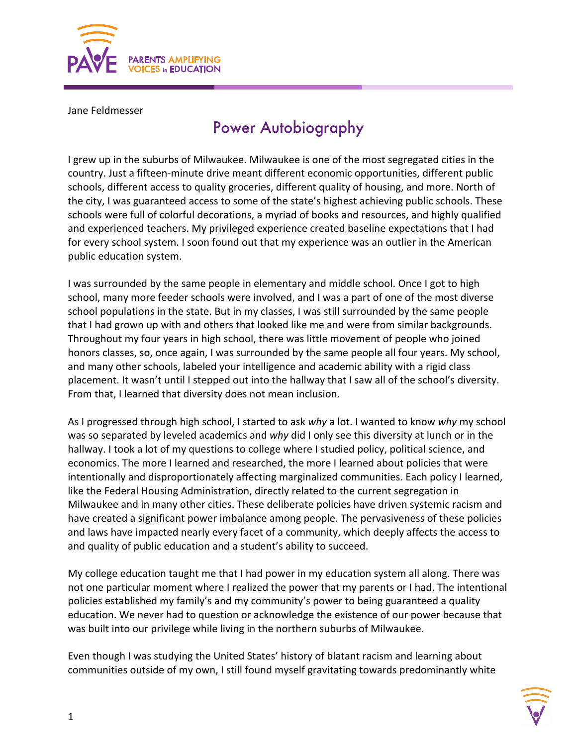

Jane Feldmesser

## Power Autobiography

I grew up in the suburbs of Milwaukee. Milwaukee is one of the most segregated cities in the country. Just a fifteen-minute drive meant different economic opportunities, different public schools, different access to quality groceries, different quality of housing, and more. North of the city, I was guaranteed access to some of the state's highest achieving public schools. These schools were full of colorful decorations, a myriad of books and resources, and highly qualified and experienced teachers. My privileged experience created baseline expectations that I had for every school system. I soon found out that my experience was an outlier in the American public education system.

I was surrounded by the same people in elementary and middle school. Once I got to high school, many more feeder schools were involved, and I was a part of one of the most diverse school populations in the state. But in my classes, I was still surrounded by the same people that I had grown up with and others that looked like me and were from similar backgrounds. Throughout my four years in high school, there was little movement of people who joined honors classes, so, once again, I was surrounded by the same people all four years. My school, and many other schools, labeled your intelligence and academic ability with a rigid class placement. It wasn't until I stepped out into the hallway that I saw all of the school's diversity. From that, I learned that diversity does not mean inclusion.

As I progressed through high school, I started to ask *why* a lot. I wanted to know *why* my school was so separated by leveled academics and *why* did I only see this diversity at lunch or in the hallway. I took a lot of my questions to college where I studied policy, political science, and economics. The more I learned and researched, the more I learned about policies that were intentionally and disproportionately affecting marginalized communities. Each policy I learned, like the Federal Housing Administration, directly related to the current segregation in Milwaukee and in many other cities. These deliberate policies have driven systemic racism and have created a significant power imbalance among people. The pervasiveness of these policies and laws have impacted nearly every facet of a community, which deeply affects the access to and quality of public education and a student's ability to succeed.

My college education taught me that I had power in my education system all along. There was not one particular moment where I realized the power that my parents or I had. The intentional policies established my family's and my community's power to being guaranteed a quality education. We never had to question or acknowledge the existence of our power because that was built into our privilege while living in the northern suburbs of Milwaukee.

Even though I was studying the United States' history of blatant racism and learning about communities outside of my own, I still found myself gravitating towards predominantly white